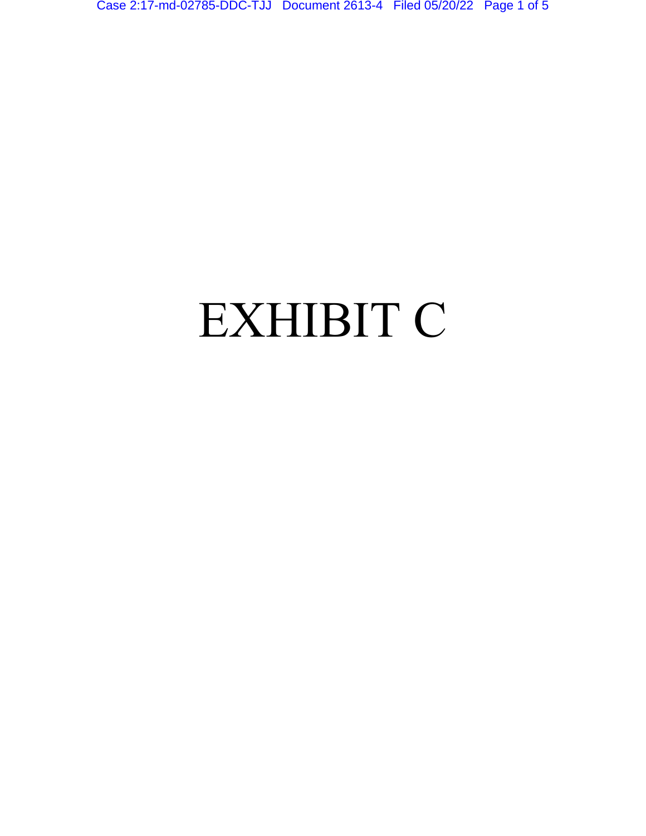Case 2:17-md-02785-DDC-TJJ Document 2613-4 Filed 05/20/22 Page 1 of 5

## EXHIBIT C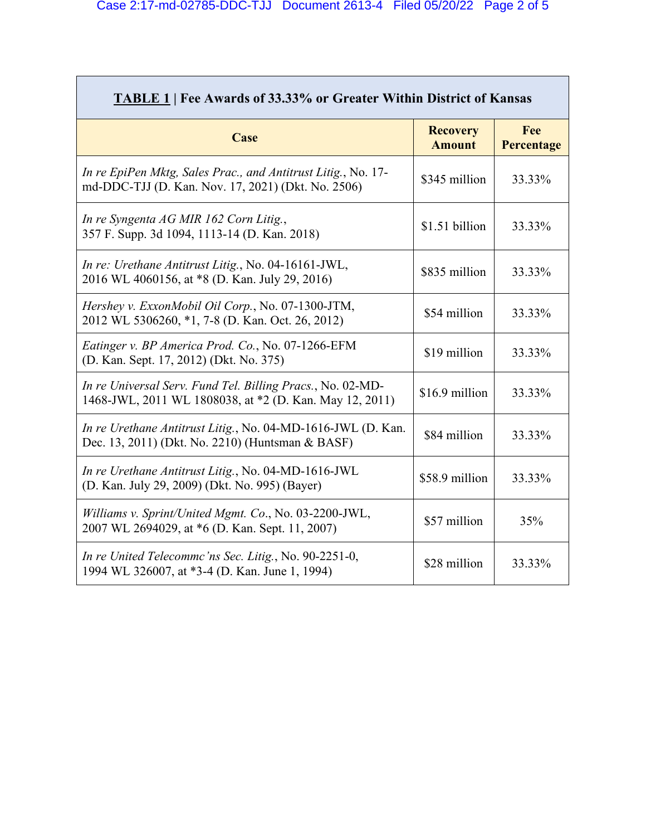<u> 1989 - Johann Stoff, deutscher Stoffen und der Stoffen und der Stoffen und der Stoffen und der Stoffen und de</u>

| <b>TABLE 1   Fee Awards of 33.33% or Greater Within District of Kansas</b>                                            |                                  |                   |  |  |
|-----------------------------------------------------------------------------------------------------------------------|----------------------------------|-------------------|--|--|
| Case                                                                                                                  | <b>Recovery</b><br><b>Amount</b> | Fee<br>Percentage |  |  |
| In re EpiPen Mktg, Sales Prac., and Antitrust Litig., No. 17-<br>md-DDC-TJJ (D. Kan. Nov. 17, 2021) (Dkt. No. 2506)   | \$345 million                    | 33.33%            |  |  |
| In re Syngenta AG MIR 162 Corn Litig.,<br>357 F. Supp. 3d 1094, 1113-14 (D. Kan. 2018)                                | \$1.51 billion                   | 33.33%            |  |  |
| In re: Urethane Antitrust Litig., No. 04-16161-JWL,<br>2016 WL 4060156, at *8 (D. Kan. July 29, 2016)                 | \$835 million                    | 33.33%            |  |  |
| Hershey v. ExxonMobil Oil Corp., No. 07-1300-JTM,<br>2012 WL 5306260, *1, 7-8 (D. Kan. Oct. 26, 2012)                 | \$54 million                     | 33.33%            |  |  |
| Eatinger v. BP America Prod. Co., No. 07-1266-EFM<br>(D. Kan. Sept. 17, 2012) (Dkt. No. 375)                          | \$19 million                     | 33.33%            |  |  |
| In re Universal Serv. Fund Tel. Billing Pracs., No. 02-MD-<br>1468-JWL, 2011 WL 1808038, at *2 (D. Kan. May 12, 2011) | \$16.9 million                   | 33.33%            |  |  |
| In re Urethane Antitrust Litig., No. 04-MD-1616-JWL (D. Kan.<br>Dec. 13, 2011) (Dkt. No. 2210) (Huntsman & BASF)      | \$84 million                     | 33.33%            |  |  |
| In re Urethane Antitrust Litig., No. 04-MD-1616-JWL<br>(D. Kan. July 29, 2009) (Dkt. No. 995) (Bayer)                 | \$58.9 million                   | 33.33%            |  |  |
| Williams v. Sprint/United Mgmt. Co., No. 03-2200-JWL,<br>2007 WL 2694029, at *6 (D. Kan. Sept. 11, 2007)              | \$57 million                     | 35%               |  |  |
| In re United Telecommc'ns Sec. Litig., No. 90-2251-0,<br>1994 WL 326007, at *3-4 (D. Kan. June 1, 1994)               | \$28 million                     | 33.33%            |  |  |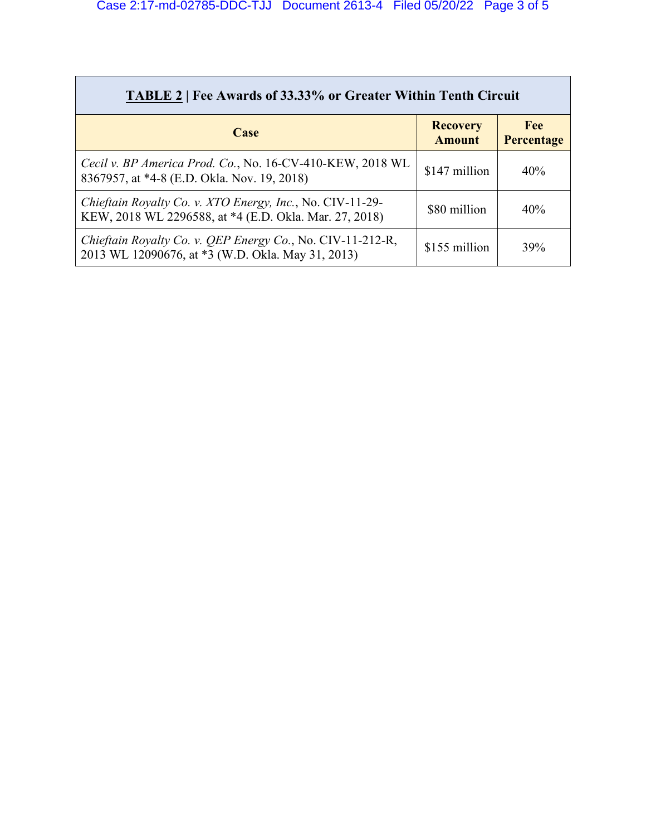| <b>TABLE 2</b>   Fee Awards of 33.33% or Greater Within Tenth Circuit                                               |                                  |                          |  |  |
|---------------------------------------------------------------------------------------------------------------------|----------------------------------|--------------------------|--|--|
| Case                                                                                                                | <b>Recovery</b><br><b>Amount</b> | <b>Fee</b><br>Percentage |  |  |
| Cecil v. BP America Prod. Co., No. 16-CV-410-KEW, 2018 WL<br>8367957, at *4-8 (E.D. Okla. Nov. 19, 2018)            | \$147 million                    | 40%                      |  |  |
| Chieftain Royalty Co. v. XTO Energy, Inc., No. CIV-11-29-<br>KEW, 2018 WL 2296588, at *4 (E.D. Okla. Mar. 27, 2018) | \$80 million                     | 40%                      |  |  |
| Chieftain Royalty Co. v. QEP Energy Co., No. CIV-11-212-R,<br>2013 WL 12090676, at *3 (W.D. Okla. May 31, 2013)     | \$155 million                    | 39%                      |  |  |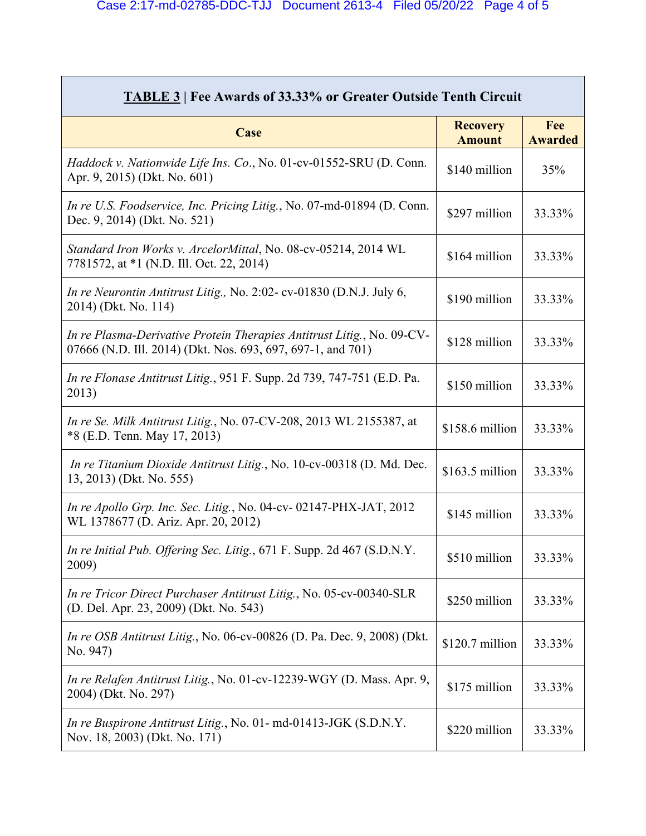| <b>TABLE 3   Fee Awards of 33.33% or Greater Outside Tenth Circuit</b>                                                                |                                  |                       |  |  |
|---------------------------------------------------------------------------------------------------------------------------------------|----------------------------------|-----------------------|--|--|
| Case                                                                                                                                  | <b>Recovery</b><br><b>Amount</b> | Fee<br><b>Awarded</b> |  |  |
| Haddock v. Nationwide Life Ins. Co., No. 01-cv-01552-SRU (D. Conn.<br>Apr. 9, 2015) (Dkt. No. 601)                                    | \$140 million                    | 35%                   |  |  |
| In re U.S. Foodservice, Inc. Pricing Litig., No. 07-md-01894 (D. Conn.<br>Dec. 9, 2014) (Dkt. No. 521)                                | \$297 million                    | 33.33%                |  |  |
| Standard Iron Works v. ArcelorMittal, No. 08-cv-05214, 2014 WL<br>7781572, at *1 (N.D. Ill. Oct. 22, 2014)                            | \$164 million                    | 33.33%                |  |  |
| In re Neurontin Antitrust Litig., No. 2:02- cv-01830 (D.N.J. July 6,<br>2014) (Dkt. No. 114)                                          | \$190 million                    | 33.33%                |  |  |
| In re Plasma-Derivative Protein Therapies Antitrust Litig., No. 09-CV-<br>07666 (N.D. Ill. 2014) (Dkt. Nos. 693, 697, 697-1, and 701) | \$128 million                    | 33.33%                |  |  |
| In re Flonase Antitrust Litig., 951 F. Supp. 2d 739, 747-751 (E.D. Pa.<br>2013)                                                       | \$150 million                    | 33.33%                |  |  |
| In re Se. Milk Antitrust Litig., No. 07-CV-208, 2013 WL 2155387, at<br>*8 (E.D. Tenn. May 17, 2013)                                   | \$158.6 million                  | 33.33%                |  |  |
| In re Titanium Dioxide Antitrust Litig., No. 10-cv-00318 (D. Md. Dec.<br>13, 2013) (Dkt. No. 555)                                     | \$163.5 million                  | 33.33%                |  |  |
| In re Apollo Grp. Inc. Sec. Litig., No. 04-cv-02147-PHX-JAT, 2012<br>WL 1378677 (D. Ariz. Apr. 20, 2012)                              | \$145 million                    | 33.33%                |  |  |
| In re Initial Pub. Offering Sec. Litig., 671 F. Supp. 2d 467 (S.D.N.Y.<br>2009)                                                       | \$510 million                    | 33.33%                |  |  |
| In re Tricor Direct Purchaser Antitrust Litig., No. 05-cv-00340-SLR<br>(D. Del. Apr. 23, 2009) (Dkt. No. 543)                         | \$250 million                    | 33.33%                |  |  |
| <i>In re OSB Antitrust Litig., No. 06-cv-00826 (D. Pa. Dec. 9, 2008) (Dkt.</i><br>No. 947)                                            | \$120.7 million                  | 33.33%                |  |  |
| In re Relafen Antitrust Litig., No. 01-cv-12239-WGY (D. Mass. Apr. 9,<br>2004) (Dkt. No. 297)                                         | \$175 million                    | 33.33%                |  |  |
| In re Buspirone Antitrust Litig., No. 01- md-01413-JGK (S.D.N.Y.<br>Nov. 18, 2003) (Dkt. No. 171)                                     | \$220 million                    | 33.33%                |  |  |